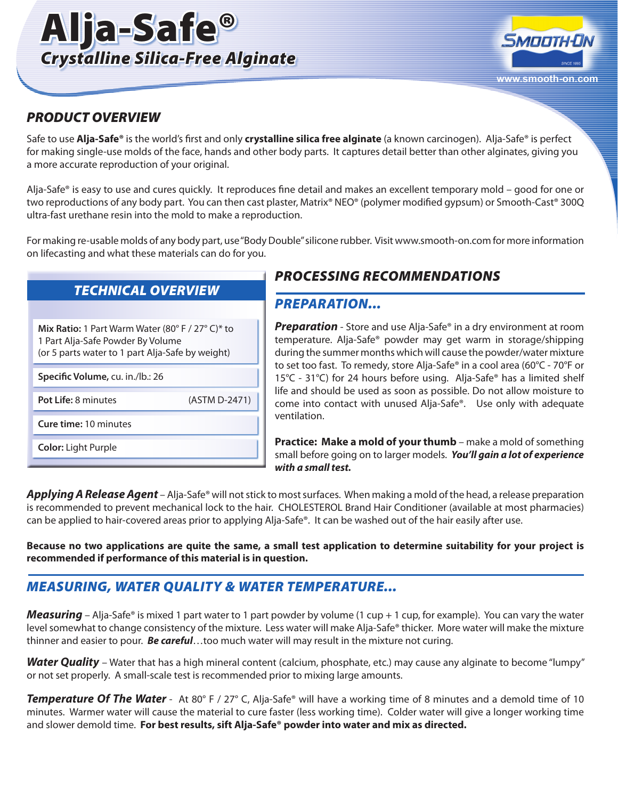



### *PRODUCT OVERVIEW*

Safe to use **Alja-Safe®** is the world's first and only **crystalline silica free alginate** (a known carcinogen). Alja-Safe® is perfect for making single-use molds of the face, hands and other body parts. It captures detail better than other alginates, giving you a more accurate reproduction of your original.

Alja-Safe® is easy to use and cures quickly. It reproduces fine detail and makes an excellent temporary mold – good for one or two reproductions of any body part. You can then cast plaster, Matrix® NEO® (polymer modified gypsum) or Smooth-Cast® 300Q ultra-fast urethane resin into the mold to make a reproduction.

For making re-usable molds of any body part, use "Body Double" silicone rubber. Visit www.smooth-on.com for more information on lifecasting and what these materials can do for you.

# *TECHNICAL OVERVIEW*

| Mix Ratio: 1 Part Warm Water (80° F / 27° C)* to<br>1 Part Alja-Safe Powder By Volume<br>(or 5 parts water to 1 part Alja-Safe by weight) |               |  |  |  |
|-------------------------------------------------------------------------------------------------------------------------------------------|---------------|--|--|--|
| Specific Volume, cu. in./lb.: 26                                                                                                          |               |  |  |  |
| Pot Life: 8 minutes                                                                                                                       | (ASTM D-2471) |  |  |  |
| <b>Cure time: 10 minutes</b>                                                                                                              |               |  |  |  |
| <b>Color:</b> Light Purple                                                                                                                |               |  |  |  |

# *PROCESSING RECOMMENDATIONS*

# *PREPARATION...*

*Preparation* - Store and use Alja-Safe® in a dry environment at room temperature. Alja-Safe® powder may get warm in storage/shipping during the summer months which will cause the powder/water mixture to set too fast. To remedy, store Alja-Safe® in a cool area (60°C - 70°F or 15°C - 31°C) for 24 hours before using. Alja-Safe® has a limited shelf life and should be used as soon as possible. Do not allow moisture to come into contact with unused Alja-Safe®. Use only with adequate ventilation.

**Practice: Make a mold of your thumb** – make a mold of something small before going on to larger models. *You'll gain a lot of experience with a small test.* 

*Applying A Release Agent* – Alja-Safe® will not stick to most surfaces. When making a mold of the head, a release preparation is recommended to prevent mechanical lock to the hair. CHOLESTEROL Brand Hair Conditioner (available at most pharmacies) can be applied to hair-covered areas prior to applying Alja-Safe®. It can be washed out of the hair easily after use.

**Because no two applications are quite the same, a small test application to determine suitability for your project is recommended if performance of this material is in question.**

# *MEASURING, WATER QUALITY & WATER TEMPERATURE...*

*Measuring* – Alja-Safe® is mixed 1 part water to 1 part powder by volume (1 cup + 1 cup, for example). You can vary the water level somewhat to change consistency of the mixture. Less water will make Alja-Safe® thicker. More water will make the mixture thinner and easier to pour. *Be careful*…too much water will may result in the mixture not curing.

*Water Quality* – Water that has a high mineral content (calcium, phosphate, etc.) may cause any alginate to become "lumpy" or not set properly. A small-scale test is recommended prior to mixing large amounts.

**Temperature Of The Water** - At 80° F / 27° C, Alja-Safe® will have a working time of 8 minutes and a demold time of 10 minutes. Warmer water will cause the material to cure faster (less working time). Colder water will give a longer working time and slower demold time. **For best results, sift Alja-Safe® powder into water and mix as directed.**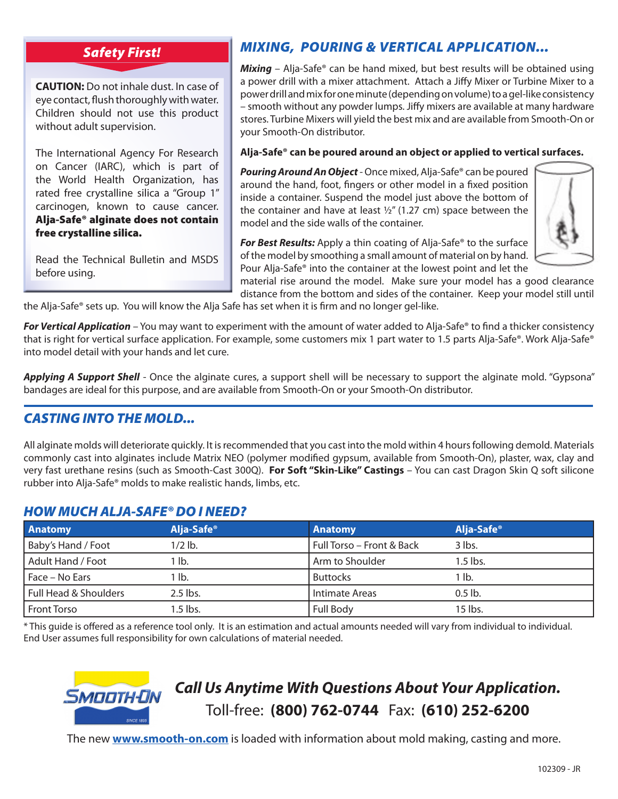### *Safety First!*

**CAUTION:** Do not inhale dust. In case of eye contact, flush thoroughly with water. Children should not use this product without adult supervision.

The International Agency For Research on Cancer (IARC), which is part of the World Health Organization, has rated free crystalline silica a "Group 1" carcinogen, known to cause cancer. Alja-Safe® alginate does not contain free crystalline silica.

Read the Technical Bulletin and MSDS before using.

# *MIXING, POURING & VERTICAL APPLICATION...*

*Mixing* – Alja-Safe® can be hand mixed, but best results will be obtained using a power drill with a mixer attachment. Attach a Jiffy Mixer or Turbine Mixer to a power drill and mix for one minute (depending on volume) to a gel-like consistency – smooth without any powder lumps. Jiffy mixers are available at many hardware stores. Turbine Mixers will yield the best mix and are available from Smooth-On or your Smooth-On distributor.

#### **Alja-Safe® can be poured around an object or applied to vertical surfaces.**

*Pouring Around An Object* - Once mixed, Alja-Safe® can be poured around the hand, foot, fingers or other model in a fixed position inside a container. Suspend the model just above the bottom of the container and have at least  $\frac{1}{2}$ " (1.27 cm) space between the model and the side walls of the container.



*For Best Results:* Apply a thin coating of Alja-Safe® to the surface of the model by smoothing a small amount of material on by hand. Pour Alja-Safe® into the container at the lowest point and let the

material rise around the model. Make sure your model has a good clearance distance from the bottom and sides of the container. Keep your model still until the Alja-Safe® sets up. You will know the Alja Safe has set when it is firm and no longer gel-like.

*For Vertical Application* – You may want to experiment with the amount of water added to Alja-Safe® to find a thicker consistency that is right for vertical surface application. For example, some customers mix 1 part water to 1.5 parts Alja-Safe®. Work Alja-Safe® into model detail with your hands and let cure.

*Applying A Support Shell* - Once the alginate cures, a support shell will be necessary to support the alginate mold. "Gypsona" bandages are ideal for this purpose, and are available from Smooth-On or your Smooth-On distributor.

# *CASTING INTO THE MOLD...*

All alginate molds will deteriorate quickly. It is recommended that you cast into the mold within 4 hours following demold. Materials commonly cast into alginates include Matrix NEO (polymer modified gypsum, available from Smooth-On), plaster, wax, clay and very fast urethane resins (such as Smooth-Cast 300Q). **For Soft "Skin-Like" Castings** – You can cast Dragon Skin Q soft silicone rubber into Alja-Safe® molds to make realistic hands, limbs, etc.

#### *HOW MUCH ALJA-SAFE® DO I NEED?*

| <b>Anatomy</b>        | Alja-Safe <sup>®</sup> | <b>Anatomy</b>            | Alja-Safe <sup>®</sup> |
|-----------------------|------------------------|---------------------------|------------------------|
| Baby's Hand / Foot    | $1/2$ lb.              | Full Torso – Front & Back | $3$ lbs.               |
| Adult Hand / Foot     | 1 lb.                  | Arm to Shoulder           | 1.5 lbs.               |
| Face – No Ears        | 1 lb.                  | <b>Buttocks</b>           | <sup>1</sup> lb.       |
| Full Head & Shoulders | $2.5$ lbs.             | Intimate Areas            | $0.5$ lb.              |
| <b>Front Torso</b>    | 1.5 lbs.               | <b>Full Body</b>          | $15$ lbs.              |

\* This guide is offered as a reference tool only. It is an estimation and actual amounts needed will vary from individual to individual. End User assumes full responsibility for own calculations of material needed.



# *Call Us Anytime With Questions About Your Application.* Toll-free: **(800) 762-0744** Fax: **(610) 252-6200**

The new **www.smooth-on.com** is loaded with information about mold making, casting and more.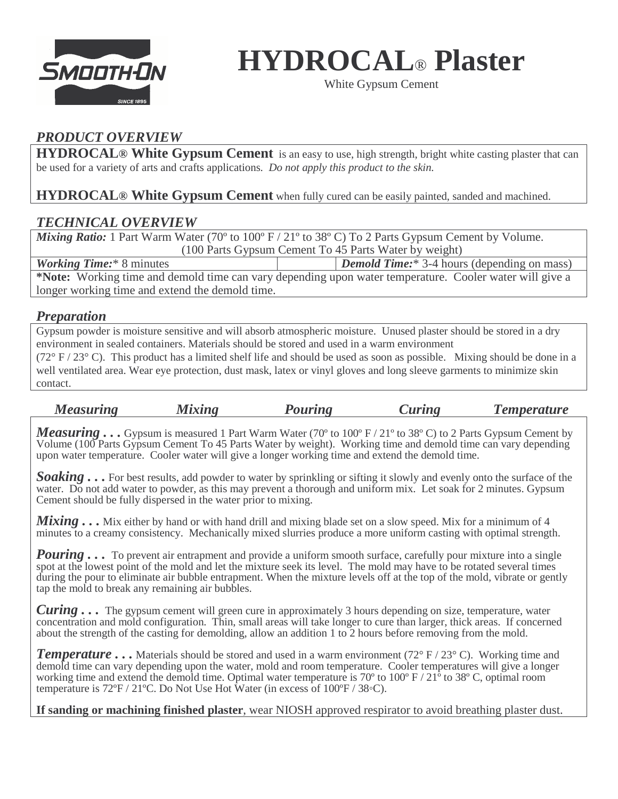

**HYDROCAL**® **Plaster** 

White Gypsum Cement

# *PRODUCT OVERVIEW*

**HYDROCAL® White Gypsum Cement** is an easy to use, high strength, bright white casting plaster that can be used for a variety of arts and crafts applications*. Do not apply this product to the skin.* 

**HYDROCAL® White Gypsum Cement** when fully cured can be easily painted, sanded and machined.

# *TECHNICAL OVERVIEW*

*Mixing Ratio:* 1 Part Warm Water (70<sup>o</sup> to 100<sup>o</sup> F / 21<sup>o</sup> to 38<sup>o</sup> C) To 2 Parts Gypsum Cement by Volume. (100 Parts Gypsum Cement To 45 Parts Water by weight) *Working Time:*\* 8 minutes *Demold Time:*\* 3-4 hours (depending on mass)

**\*Note:** Working time and demold time can vary depending upon water temperature. Cooler water will give a longer working time and extend the demold time.

#### *Preparation*

Gypsum powder is moisture sensitive and will absorb atmospheric moisture. Unused plaster should be stored in a dry environment in sealed containers. Materials should be stored and used in a warm environment

( $72^{\circ}$  F /  $23^{\circ}$  C). This product has a limited shelf life and should be used as soon as possible. Mixing should be done in a well ventilated area. Wear eye protection, dust mask, latex or vinyl gloves and long sleeve garments to minimize skin contact.

| <b>Measuring</b> | Mixing | Pouring | <i>Curing</i> | <i>l</i> emperature |
|------------------|--------|---------|---------------|---------------------|
|------------------|--------|---------|---------------|---------------------|

*Measuring* . . . Gypsum is measured 1 Part Warm Water (70<sup>o</sup> to 100<sup>o</sup> F / 21<sup>o</sup> to 38<sup>o</sup> C) to 2 Parts Gypsum Cement by Volume (100 Parts Gypsum Cement To 45 Parts Water by weight). Working time and demold time can vary depending upon water temperature. Cooler water will give a longer working time and extend the demold time.

 $\overline{a}$ *Soaking . . .* For best results, add powder to water by sprinkling or sifting it slowly and evenly onto the surface of the water. Do not add water to powder, as this may prevent a thorough and uniform mix. Let soak for 2 minutes. Gypsum Cement should be fully dispersed in the water prior to mixing.

*Mixing* . . . Mix either by hand or with hand drill and mixing blade set on a slow speed. Mix for a minimum of 4 minutes to a creamy consistency. Mechanically mixed slurries produce a more uniform casting with optimal strength.

*Pouring*... To prevent air entrapment and provide a uniform smooth surface, carefully pour mixture into a single spot at the lowest point of the mold and let the mixture seek its level. The mold may have to be rotated several times during the pour to eliminate air bubble entrapment. When the mixture levels off at the top of the mold, vibrate or gently tap the mold to break any remaining air bubbles.

*Curing . . .* The gypsum cement will green cure in approximately 3 hours depending on size, temperature, water concentration and mold configuration. Thin, small areas will take longer to cure than larger, thick areas. If concerned about the strength of the casting for demolding, allow an addition 1 to 2 hours before removing from the mold.

*Temperature* ... Materials should be stored and used in a warm environment (72° F / 23° C). Working time and demold time can vary depending upon the water, mold and room temperature. Cooler temperatures will give a longer working time and extend the demold time. Optimal water temperature is 70° to 100° F / 21° to 38° C, optimal room temperature is 72ºF / 21ºC. Do Not Use Hot Water (in excess of 100ºF / 38◦C).

**If sanding or machining finished plaster**, wear NIOSH approved respirator to avoid breathing plaster dust.